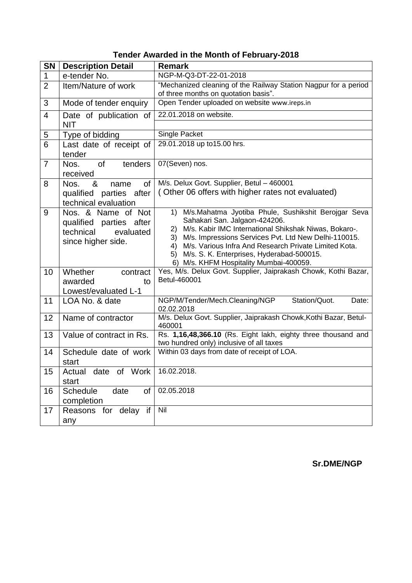| <b>SN</b>      | <b>Description Detail</b>                                                                     | <b>Remark</b>                                                                                                                                                                                                                                                                                                                                                                        |
|----------------|-----------------------------------------------------------------------------------------------|--------------------------------------------------------------------------------------------------------------------------------------------------------------------------------------------------------------------------------------------------------------------------------------------------------------------------------------------------------------------------------------|
| $\mathbf{1}$   | e-tender No.                                                                                  | NGP-M-Q3-DT-22-01-2018                                                                                                                                                                                                                                                                                                                                                               |
| $\overline{2}$ | Item/Nature of work                                                                           | "Mechanized cleaning of the Railway Station Nagpur for a period<br>of three months on quotation basis".                                                                                                                                                                                                                                                                              |
| 3              | Mode of tender enquiry                                                                        | Open Tender uploaded on website www.ireps.in                                                                                                                                                                                                                                                                                                                                         |
| $\overline{4}$ | Date of publication of                                                                        | 22.01.2018 on website.                                                                                                                                                                                                                                                                                                                                                               |
|                | <b>NIT</b>                                                                                    |                                                                                                                                                                                                                                                                                                                                                                                      |
| 5              | Type of bidding                                                                               | Single Packet                                                                                                                                                                                                                                                                                                                                                                        |
| $\overline{6}$ | Last date of receipt of<br>tender                                                             | 29.01.2018 up to15.00 hrs.                                                                                                                                                                                                                                                                                                                                                           |
| $\overline{7}$ | <b>of</b><br>tenders<br>Nos.<br>received                                                      | 07(Seven) nos.                                                                                                                                                                                                                                                                                                                                                                       |
| 8              | Nos.<br>&<br>0f<br>name<br>qualified parties after<br>technical evaluation                    | M/s. Delux Govt. Supplier, Betul - 460001<br>(Other 06 offers with higher rates not evaluated)                                                                                                                                                                                                                                                                                       |
| 9              | Nos. & Name of Not<br>qualified parties after<br>technical<br>evaluated<br>since higher side. | M/s.Mahatma Jyotiba Phule, Sushikshit Berojgar Seva<br>1)<br>Sahakari San. Jalgaon-424206.<br>M/s. Kabir IMC International Shikshak Niwas, Bokaro-.<br>2)<br>M/s. Impressions Services Pvt. Ltd New Delhi-110015.<br>3)<br>M/s. Various Infra And Research Private Limited Kota.<br>4)<br>M/s. S. K. Enterprises, Hyderabad-500015.<br>5)<br>6) M/s. KHFM Hospitality Mumbai-400059. |
| 10             | Whether<br>contract<br>awarded<br>to<br>Lowest/evaluated L-1                                  | Yes, M/s. Delux Govt. Supplier, Jaiprakash Chowk, Kothi Bazar,<br>Betul-460001                                                                                                                                                                                                                                                                                                       |
| 11             | LOA No. & date                                                                                | Station/Quot.<br>NGP/M/Tender/Mech.Cleaning/NGP<br>Date:<br>02.02.2018                                                                                                                                                                                                                                                                                                               |
| 12             | Name of contractor                                                                            | M/s. Delux Govt. Supplier, Jaiprakash Chowk, Kothi Bazar, Betul-<br>460001                                                                                                                                                                                                                                                                                                           |
| 13             | Value of contract in Rs.                                                                      | Rs. 1,16,48,366.10 (Rs. Eight lakh, eighty three thousand and<br>two hundred only) inclusive of all taxes                                                                                                                                                                                                                                                                            |
| 14             | Schedule date of work<br>start                                                                | Within 03 days from date of receipt of LOA.                                                                                                                                                                                                                                                                                                                                          |
| 15             | Actual date of Work<br>start                                                                  | 16.02.2018.                                                                                                                                                                                                                                                                                                                                                                          |
| 16             | Schedule<br>date<br>of<br>completion                                                          | 02.05.2018                                                                                                                                                                                                                                                                                                                                                                           |
| 17             | Reasons for delay if<br>any                                                                   | Nil                                                                                                                                                                                                                                                                                                                                                                                  |

**Sr.DME/NGP**